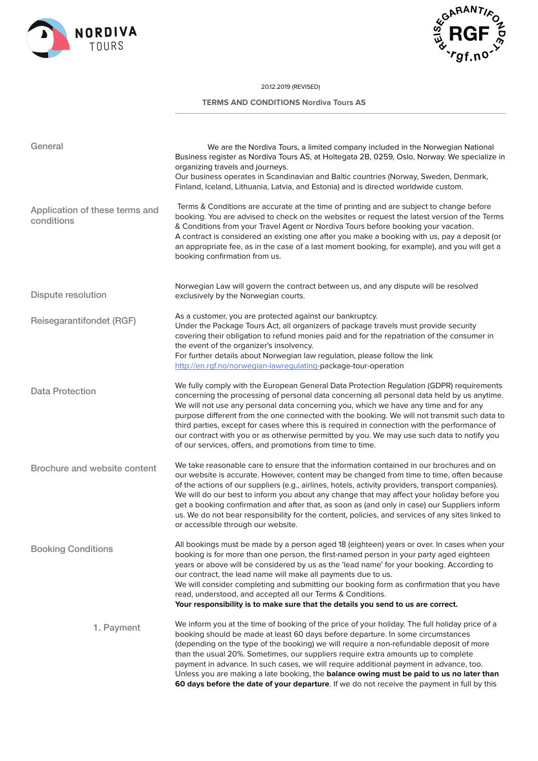



## 20.12.2019 (REVISED)

 **TERMS AND CONDITIONS Nordiva Tours AS**

| General                                      | We are the Nordiva Tours, a limited company included in the Norwegian National<br>Business register as Nordiva Tours AS, at Holtegata 2B, 0259, Oslo, Norway. We specialize in<br>organizing travels and journeys.<br>Our business operates in Scandinavian and Baltic countries (Norway, Sweden, Denmark,<br>Finland, Iceland, Lithuania, Latvia, and Estonia) and is directed worldwide custom.                                                                                                                                                                                                                                                      |
|----------------------------------------------|--------------------------------------------------------------------------------------------------------------------------------------------------------------------------------------------------------------------------------------------------------------------------------------------------------------------------------------------------------------------------------------------------------------------------------------------------------------------------------------------------------------------------------------------------------------------------------------------------------------------------------------------------------|
| Application of these terms and<br>conditions | Terms & Conditions are accurate at the time of printing and are subject to change before<br>booking. You are advised to check on the websites or request the latest version of the Terms<br>& Conditions from your Travel Agent or Nordiva Tours before booking your vacation.<br>A contract is considered an existing one after you make a booking with us, pay a deposit (or<br>an appropriate fee, as in the case of a last moment booking, for example), and you will get a<br>booking confirmation from us.                                                                                                                                       |
| <b>Dispute resolution</b>                    | Norwegian Law will govern the contract between us, and any dispute will be resolved<br>exclusively by the Norwegian courts.                                                                                                                                                                                                                                                                                                                                                                                                                                                                                                                            |
| Reisegarantifondet (RGF)                     | As a customer, you are protected against our bankruptcy.<br>Under the Package Tours Act, all organizers of package travels must provide security<br>covering their obligation to refund monies paid and for the repatriation of the consumer in<br>the event of the organizer's insolvency.<br>For further details about Norwegian law regulation, please follow the link<br>http://en.rgf.no/norwegian-lawregulating-package-tour-operation                                                                                                                                                                                                           |
| Data Protection                              | We fully comply with the European General Data Protection Regulation (GDPR) requirements<br>concerning the processing of personal data concerning all personal data held by us anytime.<br>We will not use any personal data concerning you, which we have any time and for any<br>purpose different from the one connected with the booking. We will not transmit such data to<br>third parties, except for cases where this is required in connection with the performance of<br>our contract with you or as otherwise permitted by you. We may use such data to notify you<br>of our services, offers, and promotions from time to time.            |
| Brochure and website content                 | We take reasonable care to ensure that the information contained in our brochures and on<br>our website is accurate. However, content may be changed from time to time, often because<br>of the actions of our suppliers (e.g., airlines, hotels, activity providers, transport companies).<br>We will do our best to inform you about any change that may affect your holiday before you<br>get a booking confirmation and after that, as soon as (and only in case) our Suppliers inform<br>us. We do not bear responsibility for the content, policies, and services of any sites linked to<br>or accessible through our website.                   |
| <b>Booking Conditions</b>                    | All bookings must be made by a person aged 18 (eighteen) years or over. In cases when your<br>booking is for more than one person, the first-named person in your party aged eighteen<br>years or above will be considered by us as the 'lead name' for your booking. According to<br>our contract, the lead name will make all payments due to us.<br>We will consider completing and submitting our booking form as confirmation that you have<br>read, understood, and accepted all our Terms & Conditions.<br>Your responsibility is to make sure that the details you send to us are correct.                                                     |
| 1. Payment                                   | We inform you at the time of booking of the price of your holiday. The full holiday price of a<br>booking should be made at least 60 days before departure. In some circumstances<br>(depending on the type of the booking) we will require a non-refundable deposit of more<br>than the usual 20%. Sometimes, our suppliers require extra amounts up to complete<br>payment in advance. In such cases, we will require additional payment in advance, too.<br>Unless you are making a late booking, the balance owing must be paid to us no later than<br>60 days before the date of your departure. If we do not receive the payment in full by this |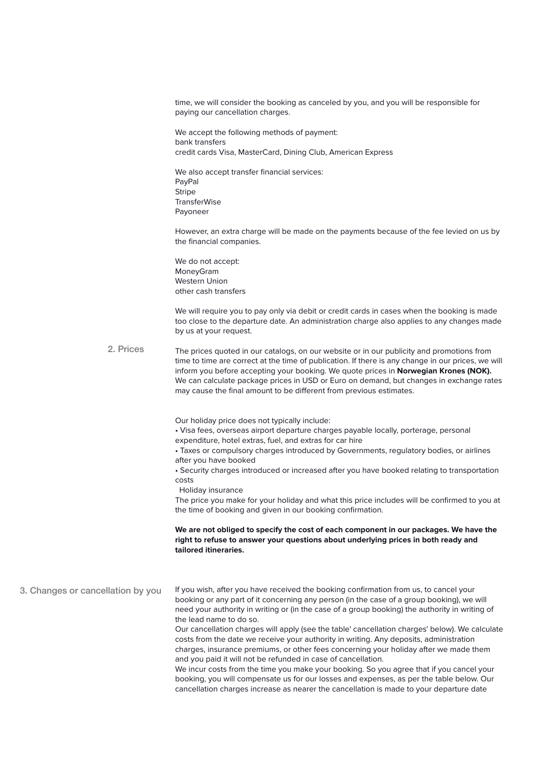time, we will consider the booking as canceled by you, and you will be responsible for paying our cancellation charges.

We accept the following methods of payment: bank transfers credit cards Visa, MasterCard, Dining Club, American Express

We also accept transfer financial services: PayPal Stripe **TransferWise** Payoneer

However, an extra charge will be made on the payments because of the fee levied on us by the financial companies.

We do not accept: MoneyGram Western Union other cash transfers

We will require you to pay only via debit or credit cards in cases when the booking is made too close to the departure date. An administration charge also applies to any changes made by us at your request.

The prices quoted in our catalogs, on our website or in our publicity and promotions from time to time are correct at the time of publication. If there is any change in our prices, we will inform you before accepting your booking. We quote prices in **Norwegian Krones (NOK).** We can calculate package prices in USD or Euro on demand, but changes in exchange rates may cause the final amount to be different from previous estimates. 2. Prices

Our holiday price does not typically include:

• Visa fees, overseas airport departure charges payable locally, porterage, personal

expenditure, hotel extras, fuel, and extras for car hire

• Taxes or compulsory charges introduced by Governments, regulatory bodies, or airlines after you have booked

• Security charges introduced or increased after you have booked relating to transportation costs

Holiday insurance

The price you make for your holiday and what this price includes will be confirmed to you at the time of booking and given in our booking confirmation.

**We are not obliged to specify the cost of each component in our packages. We have the right to refuse to answer your questions about underlying prices in both ready and tailored itineraries.**

If you wish, after you have received the booking confirmation from us, to cancel your booking or any part of it concerning any person (in the case of a group booking), we will need your authority in writing or (in the case of a group booking) the authority in writing of the lead name to do so. 3. Changes or cancellation by you

Our cancellation charges will apply (see the table' cancellation charges' below). We calculate costs from the date we receive your authority in writing. Any deposits, administration charges, insurance premiums, or other fees concerning your holiday after we made them and you paid it will not be refunded in case of cancellation.

We incur costs from the time you make your booking. So you agree that if you cancel your booking, you will compensate us for our losses and expenses, as per the table below. Our cancellation charges increase as nearer the cancellation is made to your departure date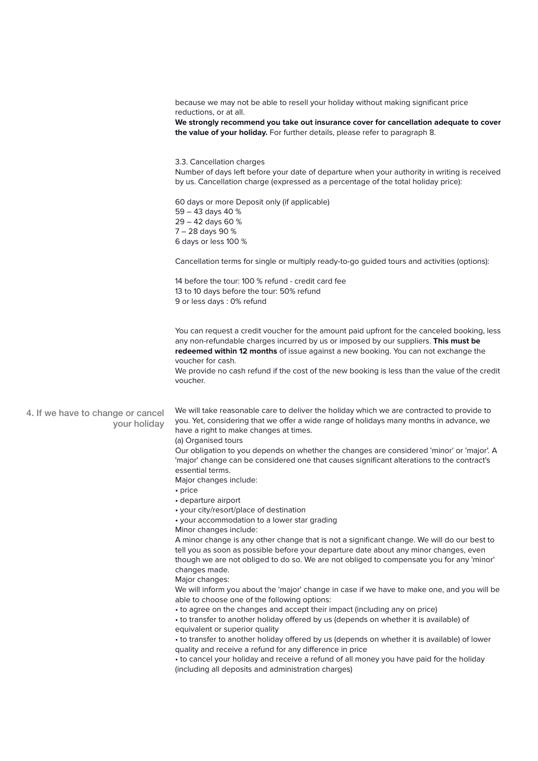|                                                   | because we may not be able to resell your holiday without making significant price<br>reductions, or at all.<br>We strongly recommend you take out insurance cover for cancellation adequate to cover<br>the value of your holiday. For further details, please refer to paragraph 8.                                                                                                                                                                                                                                                                                                                                                                                |
|---------------------------------------------------|----------------------------------------------------------------------------------------------------------------------------------------------------------------------------------------------------------------------------------------------------------------------------------------------------------------------------------------------------------------------------------------------------------------------------------------------------------------------------------------------------------------------------------------------------------------------------------------------------------------------------------------------------------------------|
|                                                   | 3.3. Cancellation charges<br>Number of days left before your date of departure when your authority in writing is received<br>by us. Cancellation charge (expressed as a percentage of the total holiday price):                                                                                                                                                                                                                                                                                                                                                                                                                                                      |
|                                                   | 60 days or more Deposit only (if applicable)<br>59 - 43 days 40 %<br>29 - 42 days 60 %<br>7 - 28 days 90 %<br>6 days or less 100 %                                                                                                                                                                                                                                                                                                                                                                                                                                                                                                                                   |
|                                                   | Cancellation terms for single or multiply ready-to-go guided tours and activities (options):                                                                                                                                                                                                                                                                                                                                                                                                                                                                                                                                                                         |
|                                                   | 14 before the tour: 100 % refund - credit card fee<br>13 to 10 days before the tour: 50% refund<br>9 or less days : 0% refund                                                                                                                                                                                                                                                                                                                                                                                                                                                                                                                                        |
|                                                   | You can request a credit voucher for the amount paid upfront for the canceled booking, less<br>any non-refundable charges incurred by us or imposed by our suppliers. This must be<br>redeemed within 12 months of issue against a new booking. You can not exchange the<br>voucher for cash.<br>We provide no cash refund if the cost of the new booking is less than the value of the credit                                                                                                                                                                                                                                                                       |
|                                                   | voucher.                                                                                                                                                                                                                                                                                                                                                                                                                                                                                                                                                                                                                                                             |
| 4. If we have to change or cancel<br>your holiday | We will take reasonable care to deliver the holiday which we are contracted to provide to<br>you. Yet, considering that we offer a wide range of holidays many months in advance, we<br>have a right to make changes at times.<br>(a) Organised tours<br>Our obligation to you depends on whether the changes are considered 'minor' or 'major'. A<br>'major' change can be considered one that causes significant alterations to the contract's<br>essential terms.<br>Major changes include:<br>$\cdot$ price                                                                                                                                                      |
|                                                   | • departure airport<br>• your city/resort/place of destination<br>• your accommodation to a lower star grading<br>Minor changes include:<br>A minor change is any other change that is not a significant change. We will do our best to<br>tell you as soon as possible before your departure date about any minor changes, even<br>though we are not obliged to do so. We are not obliged to compensate you for any 'minor'<br>changes made.<br>Major changes:                                                                                                                                                                                                      |
|                                                   | We will inform you about the 'major' change in case if we have to make one, and you will be<br>able to choose one of the following options:<br>• to agree on the changes and accept their impact (including any on price)<br>• to transfer to another holiday offered by us (depends on whether it is available) of<br>equivalent or superior quality<br>• to transfer to another holiday offered by us (depends on whether it is available) of lower<br>quality and receive a refund for any difference in price<br>• to cancel your holiday and receive a refund of all money you have paid for the holiday<br>(including all deposits and administration charges) |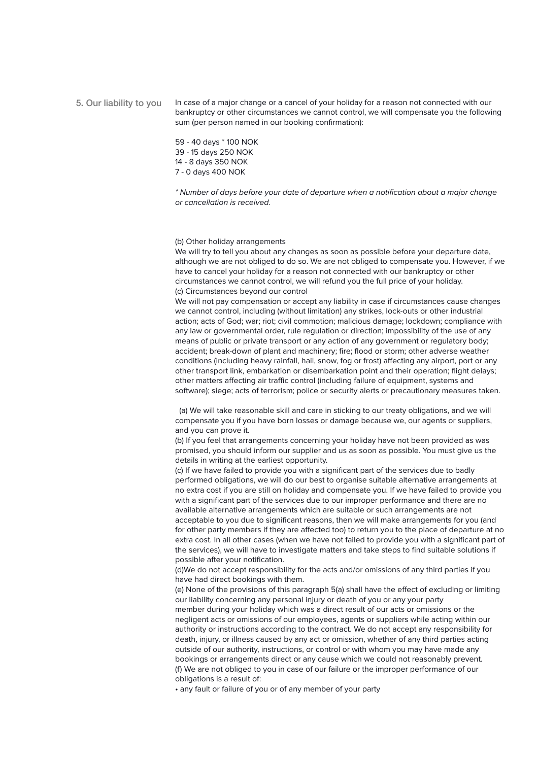## In case of a major change or a cancel of your holiday for a reason not connected with our bankruptcy or other circumstances we cannot control, we will compensate you the following sum (per person named in our booking confirmation): 5. Our liability to you

59 - 40 days \* 100 NOK 39 - 15 days 250 NOK 14 - 8 days 350 NOK 7 - 0 days 400 NOK

*\* Number of days before your date of departure when a notification about a major change or cancellation is received.*

(b) Other holiday arrangements

We will try to tell you about any changes as soon as possible before your departure date, although we are not obliged to do so. We are not obliged to compensate you. However, if we have to cancel your holiday for a reason not connected with our bankruptcy or other circumstances we cannot control, we will refund you the full price of your holiday. (c) Circumstances beyond our control

We will not pay compensation or accept any liability in case if circumstances cause changes we cannot control, including (without limitation) any strikes, lock-outs or other industrial action; acts of God; war; riot; civil commotion; malicious damage; lockdown; compliance with any law or governmental order, rule regulation or direction; impossibility of the use of any means of public or private transport or any action of any government or regulatory body; accident; break-down of plant and machinery; fire; flood or storm; other adverse weather conditions (including heavy rainfall, hail, snow, fog or frost) affecting any airport, port or any other transport link, embarkation or disembarkation point and their operation; flight delays; other matters affecting air traffic control (including failure of equipment, systems and software); siege; acts of terrorism; police or security alerts or precautionary measures taken.

 (a) We will take reasonable skill and care in sticking to our treaty obligations, and we will compensate you if you have born losses or damage because we, our agents or suppliers, and you can prove it.

(b) If you feel that arrangements concerning your holiday have not been provided as was promised, you should inform our supplier and us as soon as possible. You must give us the details in writing at the earliest opportunity.

(c) If we have failed to provide you with a significant part of the services due to badly performed obligations, we will do our best to organise suitable alternative arrangements at no extra cost if you are still on holiday and compensate you. If we have failed to provide you with a significant part of the services due to our improper performance and there are no available alternative arrangements which are suitable or such arrangements are not acceptable to you due to significant reasons, then we will make arrangements for you (and for other party members if they are affected too) to return you to the place of departure at no extra cost. In all other cases (when we have not failed to provide you with a significant part of the services), we will have to investigate matters and take steps to find suitable solutions if possible after your notification.

(d)We do not accept responsibility for the acts and/or omissions of any third parties if you have had direct bookings with them.

(e) None of the provisions of this paragraph 5(a) shall have the effect of excluding or limiting our liability concerning any personal injury or death of you or any your party member during your holiday which was a direct result of our acts or omissions or the negligent acts or omissions of our employees, agents or suppliers while acting within our authority or instructions according to the contract. We do not accept any responsibility for death, injury, or illness caused by any act or omission, whether of any third parties acting outside of our authority, instructions, or control or with whom you may have made any bookings or arrangements direct or any cause which we could not reasonably prevent. (f) We are not obliged to you in case of our failure or the improper performance of our obligations is a result of:

• any fault or failure of you or of any member of your party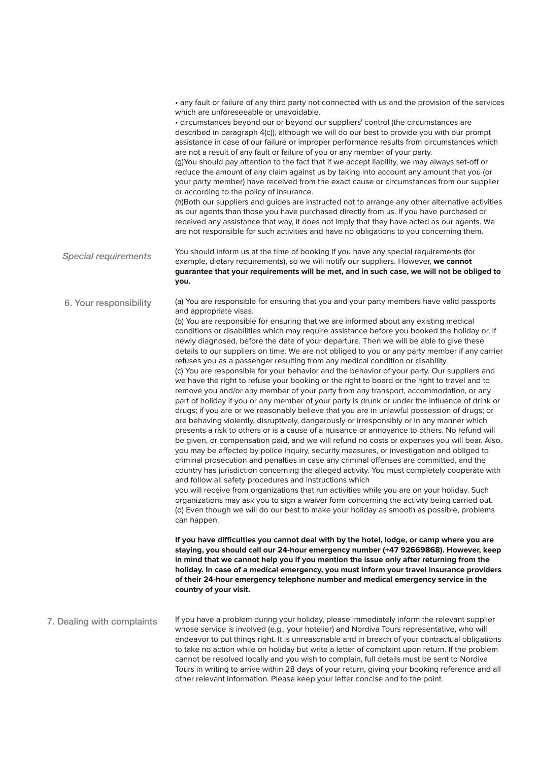• any fault or failure of any third party not connected with us and the provision of the services which are unforeseeable or unavoidable. • circumstances beyond our or beyond our suppliers' control (the circumstances are described in paragraph 4(c)), although we will do our best to provide you with our prompt assistance in case of our failure or improper performance results from circumstances which are not a result of any fault or failure of you or any member of your party. (g)You should pay attention to the fact that if we accept liability, we may always set-off or reduce the amount of any claim against us by taking into account any amount that you (or your party member) have received from the exact cause or circumstances from our supplier or according to the policy of insurance. (h)Both our suppliers and guides are instructed not to arrange any other alternative activities as our agents than those you have purchased directly from us. If you have purchased or received any assistance that way, it does not imply that they have acted as our agents. We are not responsible for such activities and have no obligations to you concerning them. You should inform us at the time of booking if you have any special requirements (for example, dietary requirements), so we will notify our suppliers. However, **we cannot guarantee that your requirements will be met, and in such case, we will not be obliged to you.** (a) You are responsible for ensuring that you and your party members have valid passports and appropriate visas. (b) You are responsible for ensuring that we are informed about any existing medical conditions or disabilities which may require assistance before you booked the holiday or, if newly diagnosed, before the date of your departure. Then we will be able to give these details to our suppliers on time. We are not obliged to you or any party member if any carrier refuses you as a passenger resulting from any medical condition or disability. (c) You are responsible for your behavior and the behavior of your party. Our suppliers and we have the right to refuse your booking or the right to board or the right to travel and to remove you and/or any member of your party from any transport, accommodation, or any part of holiday if you or any member of your party is drunk or under the influence of drink or drugs; if you are or we reasonably believe that you are in unlawful possession of drugs; or are behaving violently, disruptively, dangerously or irresponsibly or in any manner which presents a risk to others or is a cause of a nuisance or annoyance to others. No refund will be given, or compensation paid, and we will refund no costs or expenses you will bear. Also, you may be affected by police inquiry, security measures, or investigation and obliged to criminal prosecution and penalties in case any criminal offenses are committed, and the country has jurisdiction concerning the alleged activity. You must completely cooperate with and follow all safety procedures and instructions which you will receive from organizations that run activities while you are on your holiday. Such organizations may ask you to sign a waiver form concerning the activity being carried out. (d) Even though we will do our best to make your holiday as smooth as possible, problems can happen. **If you have difficulties you cannot deal with by the hotel, lodge, or camp where you are staying, you should call our 24-hour emergency number (+47 92669868). However, keep in mind that we cannot help you if you mention the issue only after returning from the holiday. In case of a medical emergency, you must inform your travel insurance providers of their 24-hour emergency telephone number and medical emergency service in the country of your visit.** If you have a problem during your holiday, please immediately inform the relevant supplier whose service is involved (e.g., your hotelier) and Nordiva Tours representative, who will endeavor to put things right. It is unreasonable and in breach of your contractual obligations to take no action while on holiday but write a letter of complaint upon return. If the problem cannot be resolved locally and you wish to complain, full details must be sent to Nordiva Tours in writing to arrive within 28 days of your return, giving your booking reference and all other relevant information. Please keep your letter concise and to the point. *Special requirements* 6. Your responsibility 7. Dealing with complaints